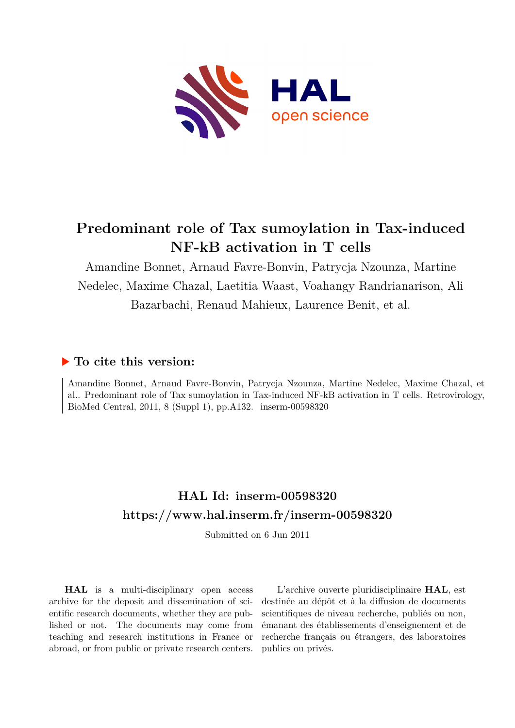

# **Predominant role of Tax sumoylation in Tax-induced NF-kB activation in T cells**

Amandine Bonnet, Arnaud Favre-Bonvin, Patrycja Nzounza, Martine Nedelec, Maxime Chazal, Laetitia Waast, Voahangy Randrianarison, Ali Bazarbachi, Renaud Mahieux, Laurence Benit, et al.

## **To cite this version:**

Amandine Bonnet, Arnaud Favre-Bonvin, Patrycja Nzounza, Martine Nedelec, Maxime Chazal, et al.. Predominant role of Tax sumoylation in Tax-induced NF-kB activation in T cells. Retrovirology, BioMed Central, 2011, 8 (Suppl 1), pp.A132. inserm-00598320

## **HAL Id: inserm-00598320 <https://www.hal.inserm.fr/inserm-00598320>**

Submitted on 6 Jun 2011

**HAL** is a multi-disciplinary open access archive for the deposit and dissemination of scientific research documents, whether they are published or not. The documents may come from teaching and research institutions in France or abroad, or from public or private research centers.

L'archive ouverte pluridisciplinaire **HAL**, est destinée au dépôt et à la diffusion de documents scientifiques de niveau recherche, publiés ou non, émanant des établissements d'enseignement et de recherche français ou étrangers, des laboratoires publics ou privés.